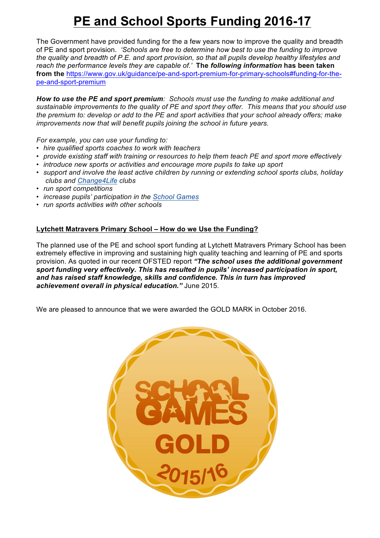# **PE and School Sports Funding 2016-17**

The Government have provided funding for the a few years now to improve the quality and breadth of PE and sport provision. *'Schools are free to determine how best to use the funding to improve the quality and breadth of P.E. and sport provision, so that all pupils develop healthy lifestyles and reach the performance levels they are capable of.'* **The** *following information* **has been taken**  from the https://www.gov.uk/guidance/pe-and-sport-premium-for-primary-schools#funding-for-thepe-and-sport-premium

*How to use the PE and sport premium: Schools must use the funding to make additional and sustainable improvements to the quality of PE and sport they offer. This means that you should use the premium to: develop or add to the PE and sport activities that your school already offers; make improvements now that will benefit pupils joining the school in future years.*

*For example, you can use your funding to:*

- *hire qualified sports coaches to work with teachers*
- *provide existing staff with training or resources to help them teach PE and sport more effectively*
- *introduce new sports or activities and encourage more pupils to take up sport*
- *support and involve the least active children by running or extending school sports clubs, holiday clubs and Change4Life clubs*
- *run sport competitions*
- *increase pupils' participation in the School Games*
- *run sports activities with other schools*

## **Lytchett Matravers Primary School – How do we Use the Funding?**

The planned use of the PE and school sport funding at Lytchett Matravers Primary School has been extremely effective in improving and sustaining high quality teaching and learning of PE and sports provision. As quoted in our recent OFSTED report *"The school uses the additional government sport funding very effectively. This has resulted in pupils' increased participation in sport, and has raised staff knowledge, skills and confidence. This in turn has improved achievement overall in physical education."* June 2015.

We are pleased to announce that we were awarded the GOLD MARK in October 2016.

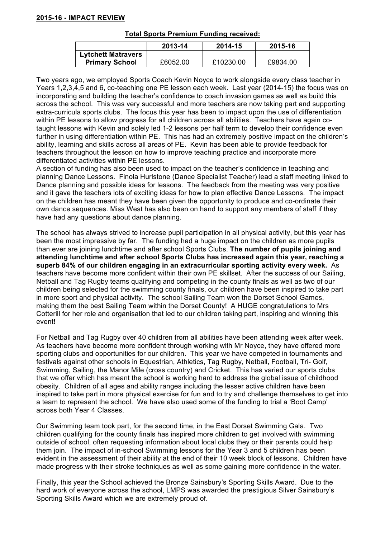## **2015-16 - IMPACT REVIEW**

|                           | 2013-14  | 2014-15   | 2015-16  |
|---------------------------|----------|-----------|----------|
| <b>Lytchett Matravers</b> |          |           |          |
| <b>Primary School</b>     | £6052.00 | £10230.00 | £9834.00 |

Two years ago, we employed Sports Coach Kevin Noyce to work alongside every class teacher in Years 1,2,3,4,5 and 6, co-teaching one PE lesson each week. Last year (2014-15) the focus was on incorporating and building the teacher's confidence to coach invasion games as well as build this across the school. This was very successful and more teachers are now taking part and supporting extra-curricula sports clubs. The focus this year has been to impact upon the use of differentiation within PE lessons to allow progress for all children across all abilities. Teachers have again cotaught lessons with Kevin and solely led 1-2 lessons per half term to develop their confidence even further in using differentiation within PE. This has had an extremely positive impact on the children's ability, learning and skills across all areas of PE. Kevin has been able to provide feedback for teachers throughout the lesson on how to improve teaching practice and incorporate more differentiated activities within PE lessons.

A section of funding has also been used to impact on the teacher's confidence in teaching and planning Dance Lessons. Finola Hurlstone (Dance Specialist Teacher) lead a staff meeting linked to Dance planning and possible ideas for lessons. The feedback from the meeting was very positive and it gave the teachers lots of exciting ideas for how to plan effective Dance Lessons. The impact on the children has meant they have been given the opportunity to produce and co-ordinate their own dance sequences. Miss West has also been on hand to support any members of staff if they have had any questions about dance planning.

The school has always strived to increase pupil participation in all physical activity, but this year has been the most impressive by far. The funding had a huge impact on the children as more pupils than ever are joining lunchtime and after school Sports Clubs. **The number of pupils joining and attending lunchtime and after school Sports Clubs has increased again this year, reaching a superb 84% of our children engaging in an extracurricular sporting activity every week.** As teachers have become more confident within their own PE skillset. After the success of our Sailing, Netball and Tag Rugby teams qualifying and competing in the county finals as well as two of our children being selected for the swimming county finals, our children have been inspired to take part in more sport and physical activity. The school Sailing Team won the Dorset School Games, making them the best Sailing Team within the Dorset County! A HUGE congratulations to Mrs Cotterill for her role and organisation that led to our children taking part, inspiring and winning this event!

For Netball and Tag Rugby over 40 children from all abilities have been attending week after week. As teachers have become more confident through working with Mr Noyce, they have offered more sporting clubs and opportunities for our children. This year we have competed in tournaments and festivals against other schools in Equestrian, Athletics, Tag Rugby, Netball, Football, Tri- Golf, Swimming, Sailing, the Manor Mile (cross country) and Cricket. This has varied our sports clubs that we offer which has meant the school is working hard to address the global issue of childhood obesity. Children of all ages and ability ranges including the lesser active children have been inspired to take part in more physical exercise for fun and to try and challenge themselves to get into a team to represent the school. We have also used some of the funding to trial a 'Boot Camp' across both Year 4 Classes.

Our Swimming team took part, for the second time, in the East Dorset Swimming Gala. Two children qualifying for the county finals has inspired more children to get involved with swimming outside of school, often requesting information about local clubs they or their parents could help them join. The impact of in-school Swimming lessons for the Year 3 and 5 children has been evident in the assessment of their ability at the end of their 10 week block of lessons. Children have made progress with their stroke techniques as well as some gaining more confidence in the water.

Finally, this year the School achieved the Bronze Sainsbury's Sporting Skills Award. Due to the hard work of everyone across the school, LMPS was awarded the prestigious Silver Sainsbury's Sporting Skills Award which we are extremely proud of.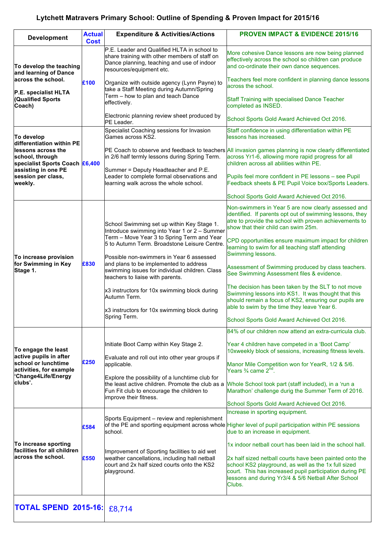## **Lytchett Matravers Primary School: Outline of Spending & Proven Impact for 2015/16**

| <b>Development</b>                                                                                                                                                          | <b>Actual</b> | <b>Expenditure &amp; Activities/Actions</b>                                                                                                                                              | <b>PROVEN IMPACT &amp; EVIDENCE 2015/16</b>                                                                                                                                                                                                                              |
|-----------------------------------------------------------------------------------------------------------------------------------------------------------------------------|---------------|------------------------------------------------------------------------------------------------------------------------------------------------------------------------------------------|--------------------------------------------------------------------------------------------------------------------------------------------------------------------------------------------------------------------------------------------------------------------------|
|                                                                                                                                                                             | <b>Cost</b>   | P.E. Leader and Qualified HLTA in school to                                                                                                                                              |                                                                                                                                                                                                                                                                          |
| To develop the teaching<br>and learning of Dance<br>across the school.<br>P.E. specialist HLTA<br><b>Qualified Sports</b><br>Coach)                                         | £100          | share training with other members of staff on<br>Dance planning, teaching and use of indoor<br>resources/equipment etc.                                                                  | More cohesive Dance lessons are now being planned<br>effectively across the school so children can produce<br>and co-ordinate their own dance sequences.                                                                                                                 |
|                                                                                                                                                                             |               | Organize with outside agency (Lynn Payne) to<br>take a Staff Meeting during Autumn/Spring                                                                                                | Teachers feel more confident in planning dance lessons<br>across the school.                                                                                                                                                                                             |
|                                                                                                                                                                             |               | Term - how to plan and teach Dance<br>effectively.                                                                                                                                       | Staff Training with specialised Dance Teacher<br>completed as INSED.                                                                                                                                                                                                     |
|                                                                                                                                                                             |               | Electronic planning review sheet produced by<br>PE Leader.                                                                                                                               | School Sports Gold Award Achieved Oct 2016.                                                                                                                                                                                                                              |
| To develop<br>differentiation within PE<br>llessons across the<br>school, through<br>specialist Sports Coach £6,400<br>assisting in one PE<br>session per class,<br>weekly. |               | Specialist Coaching sessions for Invasion<br>Games across KS2.                                                                                                                           | Staff confidence in using differentiation within PE<br>lessons has increased.                                                                                                                                                                                            |
|                                                                                                                                                                             |               | in 2/6 half termly lessons during Spring Term.                                                                                                                                           | PE Coach to observe and feedback to teachers All invasion games planning is now clearly differentiated<br>across Yr1-6, allowing more rapid progress for all<br>children across all abilities within PE.                                                                 |
|                                                                                                                                                                             |               | Summer = Deputy Headteacher and P.E.<br>Leader to complete formal observations and<br>learning walk across the whole school.                                                             | Pupils feel more confident in PE lessons - see Pupil<br>Feedback sheets & PE Pupil Voice box/Sports Leaders.                                                                                                                                                             |
|                                                                                                                                                                             |               |                                                                                                                                                                                          | School Sports Gold Award Achieved Oct 2016.                                                                                                                                                                                                                              |
| To increase provision<br>for Swimming in Key<br>Stage 1.                                                                                                                    | £830          | School Swimming set up within Key Stage 1.<br>Introduce swimming into Year 1 or 2 - Summer<br>Term - Move Year 3 to Spring Term and Year<br>5 to Autumn Term. Broadstone Leisure Centre. | Non-swimmers in Year 5 are now clearly assessed and<br>identified. If parents opt out of swimming lessons, they<br>atre to provide the school with proven achievements to<br>show that their child can swim 25m.<br>CPD opportunities ensure maximum impact for children |
|                                                                                                                                                                             |               | Possible non-swimmers in Year 6 assessed<br>and plans to be implemented to address                                                                                                       | learning to swim for all teaching staff attending<br>Swimming lessons.                                                                                                                                                                                                   |
|                                                                                                                                                                             |               | swimming issues for individual children. Class<br>teachers to liaise with parents.                                                                                                       | Assessment of Swimming produced by class teachers.<br>See Swimming Assessment files & evidence.                                                                                                                                                                          |
|                                                                                                                                                                             |               | x3 instructors for 10x swimming block during<br>Autumn Term.                                                                                                                             | The decision has been taken by the SLT to not move<br>Swimming lessons into KS1. It was thought that this<br>should remain a focus of KS2, ensuring our pupils are                                                                                                       |
|                                                                                                                                                                             |               | x3 instructors for 10x swimming block during<br>Spring Term.                                                                                                                             | able to swim by the time they leave Year 6.<br>School Sports Gold Award Achieved Oct 2016.                                                                                                                                                                               |
|                                                                                                                                                                             |               |                                                                                                                                                                                          | 84% of our children now attend an extra-curricula club.                                                                                                                                                                                                                  |
| To engage the least                                                                                                                                                         | £250          | Initiate Boot Camp within Key Stage 2.                                                                                                                                                   | Year 4 children have competed in a 'Boot Camp'<br>10xweekly block of sessions, increasing fitness levels.                                                                                                                                                                |
| active pupils in after<br>school or lunchtime<br>activities, for example<br>Change4Life/Energy<br>clubs'.                                                                   |               | Evaluate and roll out into other year groups if<br>applicable.                                                                                                                           | Manor Mile Competition won for YearR, 1/2 & 5/6.<br>Years ¾ came 2 <sup>nd</sup> .                                                                                                                                                                                       |
|                                                                                                                                                                             |               | Explore the possibility of a lunchtime club for<br>the least active children. Promote the club as a<br>Fun Fit club to encourage the children to<br>improve their fitness.               | Whole School took part (staff included), in a 'run a<br>Marathon' challenge durig the Summer Term of 2016.                                                                                                                                                               |
|                                                                                                                                                                             |               |                                                                                                                                                                                          | School Sports Gold Award Achieved Oct 2016.<br>Increase in sporting equipment.                                                                                                                                                                                           |
| To increase sporting<br>facilities for all children<br>across the school.                                                                                                   | £584          | Sports Equipment – review and replenishment<br>school.                                                                                                                                   | of the PE and sporting equipment across whole Higher level of pupil participation within PE sessions<br>due to an increase in equipment.                                                                                                                                 |
|                                                                                                                                                                             | £550          |                                                                                                                                                                                          | 1x indoor netball court has been laid in the school hall.                                                                                                                                                                                                                |
|                                                                                                                                                                             |               | Improvement of Sporting facilities to aid wet<br>weather cancellations, including hall netball<br>court and 2x half sized courts onto the KS2<br>playground.                             | 2x half sized netball courts have been painted onto the<br>school KS2 playground, as well as the 1x full sized<br>court. This has increased pupil participation during PE<br>lessons and during Yr3/4 & 5/6 Netball After School<br>Clubs.                               |
| <b>TOTAL SPEND 2015-16:</b>                                                                                                                                                 |               | £8,714                                                                                                                                                                                   |                                                                                                                                                                                                                                                                          |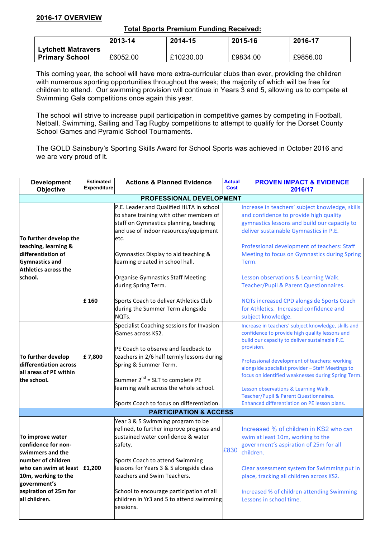## **2016-17 OVERVIEW**

#### **Total Sports Premium Funding Received:**

|                           | 2013-14  | 2014-15   | 2015-16  | 2016-17  |
|---------------------------|----------|-----------|----------|----------|
| <b>Lytchett Matravers</b> |          |           |          |          |
| <b>Primary School</b>     | £6052.00 | £10230.00 | £9834.00 | £9856.00 |

This coming year, the school will have more extra-curricular clubs than ever, providing the children with numerous sporting opportunities throughout the week; the majority of which will be free for children to attend. Our swimming provision will continue in Years 3 and 5, allowing us to compete at Swimming Gala competitions once again this year.

The school will strive to increase pupil participation in competitive games by competing in Football, Netball, Swimming, Sailing and Tag Rugby competitions to attempt to qualify for the Dorset County School Games and Pyramid School Tournaments.

The GOLD Sainsbury's Sporting Skills Award for School Sports was achieved in October 2016 and we are very proud of it.

| <b>Development</b><br>Objective                                                                                                                                                                       | <b>Estimated</b><br><b>Expenditure</b> | <b>Actions &amp; Planned Evidence</b>                                                                                                                                                                                                                                                                                                            | <b>Actual</b><br><b>Cost</b> | <b>PROVEN IMPACT &amp; EVIDENCE</b><br>2016/17                                                                                                                                                                                                                                                                                                                                                                                                                      |  |
|-------------------------------------------------------------------------------------------------------------------------------------------------------------------------------------------------------|----------------------------------------|--------------------------------------------------------------------------------------------------------------------------------------------------------------------------------------------------------------------------------------------------------------------------------------------------------------------------------------------------|------------------------------|---------------------------------------------------------------------------------------------------------------------------------------------------------------------------------------------------------------------------------------------------------------------------------------------------------------------------------------------------------------------------------------------------------------------------------------------------------------------|--|
| PROFESSIONAL DEVELOPMENT                                                                                                                                                                              |                                        |                                                                                                                                                                                                                                                                                                                                                  |                              |                                                                                                                                                                                                                                                                                                                                                                                                                                                                     |  |
| To further develop the<br>teaching, learning &<br>differentiation of<br><b>Gymnastics and</b><br>Athletics across the<br>school.                                                                      |                                        | P.E. Leader and Qualified HLTA in school<br>to share training with other members of<br>staff on Gymnastics planning, teaching<br>and use of indoor resources/equipment<br>etc.<br>Gymnastics Display to aid teaching &<br>learning created in school hall.<br>Organise Gymnastics Staff Meeting<br>during Spring Term.                           |                              | Increase in teachers' subject knowledge, skills<br>and confidence to provide high quality<br>gymnastics lessons and build our capacity to<br>deliver sustainable Gymnastics in P.E.<br>Professional development of teachers: Staff<br>Meeting to focus on Gymnastics during Spring<br>Term.<br>Lesson observations & Learning Walk.<br>Teacher/Pupil & Parent Questionnaires.                                                                                       |  |
|                                                                                                                                                                                                       | £160                                   | Sports Coach to deliver Athletics Club<br>during the Summer Term alongside<br>NQTs.                                                                                                                                                                                                                                                              |                              | <b>NQTs increased CPD alongside Sports Coach</b><br>for Athletics. Increased confidence and<br>subject knowledge.                                                                                                                                                                                                                                                                                                                                                   |  |
| To further develop<br>differentiation across<br>all areas of PE within<br>the school.                                                                                                                 | £7,800                                 | Specialist Coaching sessions for Invasion<br>Games across KS2.<br>PE Coach to observe and feedback to<br>teachers in 2/6 half termly lessons during<br>Spring & Summer Term.<br>Summer $2^{nd}$ = SLT to complete PE<br>learning walk across the whole school.<br>Sports Coach to focus on differentiation.                                      |                              | Increase in teachers' subject knowledge, skills and<br>confidence to provide high quality lessons and<br>build our capacity to deliver sustainable P.E.<br>provision.<br>Professional development of teachers: working<br>alongside specialist provider - Staff Meetings to<br>focus on identified weaknesses during Spring Term.<br>Lesson observations & Learning Walk.<br>Teacher/Pupil & Parent Questionnaires.<br>Enhanced differentiation on PE lesson plans. |  |
| <b>PARTICIPATION &amp; ACCESS</b>                                                                                                                                                                     |                                        |                                                                                                                                                                                                                                                                                                                                                  |                              |                                                                                                                                                                                                                                                                                                                                                                                                                                                                     |  |
| To improve water<br>confidence for non-<br>swimmers and the<br>number of children<br>who can swim at least $ £1,200$<br>10m, working to the<br>government's<br>aspiration of 25m for<br>all children. |                                        | Year 3 & 5 Swimming program to be<br>refined, to further improve progress and<br>sustained water confidence & water<br>safety.<br>Sports Coach to attend Swimming<br>lessons for Years 3 & 5 alongside class<br>teachers and Swim Teachers.<br>School to encourage participation of all<br>children in Yr3 and 5 to attend swimming<br>sessions. | £830                         | Increased % of children in KS2 who can<br>swim at least 10m, working to the<br>government's aspiration of 25m for all<br>children.<br>Clear assessment system for Swimming put in<br>place, tracking all children across KS2.<br>Increased % of children attending Swimming<br>Lessons in school time.                                                                                                                                                              |  |